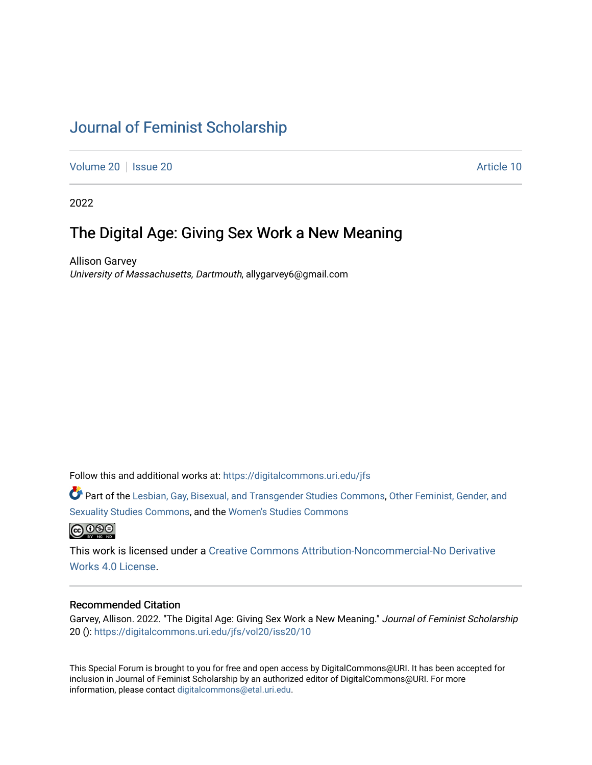## [Journal of Feminist Scholarship](https://digitalcommons.uri.edu/jfs)

[Volume 20](https://digitalcommons.uri.edu/jfs/vol20) | [Issue 20](https://digitalcommons.uri.edu/jfs/vol20/iss20) | **Article 10** 

2022

### The Digital Age: Giving Sex Work a New Meaning

Allison Garvey University of Massachusetts, Dartmouth, allygarvey6@gmail.com

Follow this and additional works at: [https://digitalcommons.uri.edu/jfs](https://digitalcommons.uri.edu/jfs?utm_source=digitalcommons.uri.edu%2Fjfs%2Fvol20%2Fiss20%2F10&utm_medium=PDF&utm_campaign=PDFCoverPages) 

Part of the [Lesbian, Gay, Bisexual, and Transgender Studies Commons](http://network.bepress.com/hgg/discipline/560?utm_source=digitalcommons.uri.edu%2Fjfs%2Fvol20%2Fiss20%2F10&utm_medium=PDF&utm_campaign=PDFCoverPages), [Other Feminist, Gender, and](http://network.bepress.com/hgg/discipline/562?utm_source=digitalcommons.uri.edu%2Fjfs%2Fvol20%2Fiss20%2F10&utm_medium=PDF&utm_campaign=PDFCoverPages)  [Sexuality Studies Commons](http://network.bepress.com/hgg/discipline/562?utm_source=digitalcommons.uri.edu%2Fjfs%2Fvol20%2Fiss20%2F10&utm_medium=PDF&utm_campaign=PDFCoverPages), and the [Women's Studies Commons](http://network.bepress.com/hgg/discipline/561?utm_source=digitalcommons.uri.edu%2Fjfs%2Fvol20%2Fiss20%2F10&utm_medium=PDF&utm_campaign=PDFCoverPages) 



This work is licensed under a [Creative Commons Attribution-Noncommercial-No Derivative](https://creativecommons.org/licenses/by-nc-nd/4.0/)  [Works 4.0 License](https://creativecommons.org/licenses/by-nc-nd/4.0/).

#### Recommended Citation

Garvey, Allison. 2022. "The Digital Age: Giving Sex Work a New Meaning." Journal of Feminist Scholarship 20 (): [https://digitalcommons.uri.edu/jfs/vol20/iss20/10](https://digitalcommons.uri.edu/jfs/vol20/iss20/10?utm_source=digitalcommons.uri.edu%2Fjfs%2Fvol20%2Fiss20%2F10&utm_medium=PDF&utm_campaign=PDFCoverPages) 

This Special Forum is brought to you for free and open access by DigitalCommons@URI. It has been accepted for inclusion in Journal of Feminist Scholarship by an authorized editor of DigitalCommons@URI. For more information, please contact [digitalcommons@etal.uri.edu.](mailto:digitalcommons@etal.uri.edu)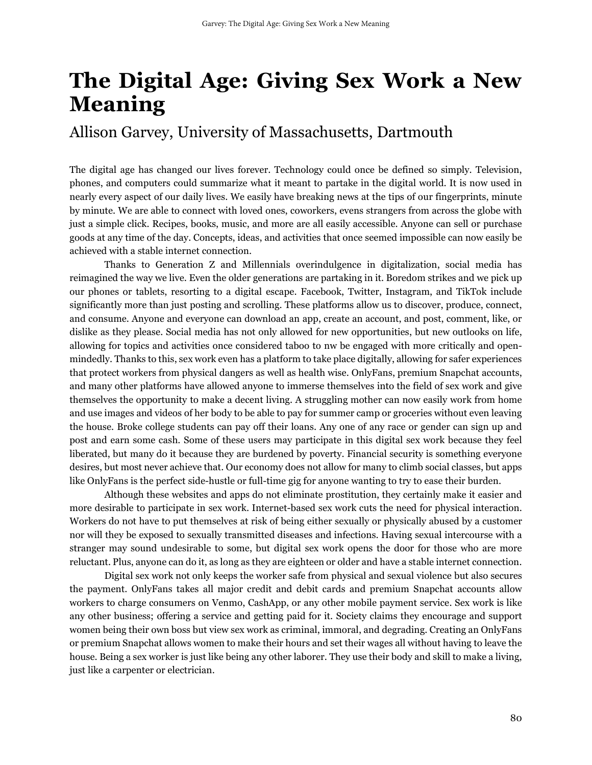# **The Digital Age: Giving Sex Work a New Meaning**

## Allison Garvey, University of Massachusetts, Dartmouth

The digital age has changed our lives forever. Technology could once be defined so simply. Television, phones, and computers could summarize what it meant to partake in the digital world. It is now used in nearly every aspect of our daily lives. We easily have breaking news at the tips of our fingerprints, minute by minute. We are able to connect with loved ones, coworkers, evens strangers from across the globe with just a simple click. Recipes, books, music, and more are all easily accessible. Anyone can sell or purchase goods at any time of the day. Concepts, ideas, and activities that once seemed impossible can now easily be achieved with a stable internet connection.

Thanks to Generation Z and Millennials overindulgence in digitalization, social media has reimagined the way we live. Even the older generations are partaking in it. Boredom strikes and we pick up our phones or tablets, resorting to a digital escape. Facebook, Twitter, Instagram, and TikTok include significantly more than just posting and scrolling. These platforms allow us to discover, produce, connect, and consume. Anyone and everyone can download an app, create an account, and post, comment, like, or dislike as they please. Social media has not only allowed for new opportunities, but new outlooks on life, allowing for topics and activities once considered taboo to nw be engaged with more critically and openmindedly. Thanks to this, sex work even has a platform to take place digitally, allowing for safer experiences that protect workers from physical dangers as well as health wise. OnlyFans, premium Snapchat accounts, and many other platforms have allowed anyone to immerse themselves into the field of sex work and give themselves the opportunity to make a decent living. A struggling mother can now easily work from home and use images and videos of her body to be able to pay for summer camp or groceries without even leaving the house. Broke college students can pay off their loans. Any one of any race or gender can sign up and post and earn some cash. Some of these users may participate in this digital sex work because they feel liberated, but many do it because they are burdened by poverty. Financial security is something everyone desires, but most never achieve that. Our economy does not allow for many to climb social classes, but apps like OnlyFans is the perfect side-hustle or full-time gig for anyone wanting to try to ease their burden.

Although these websites and apps do not eliminate prostitution, they certainly make it easier and more desirable to participate in sex work. Internet-based sex work cuts the need for physical interaction. Workers do not have to put themselves at risk of being either sexually or physically abused by a customer nor will they be exposed to sexually transmitted diseases and infections. Having sexual intercourse with a stranger may sound undesirable to some, but digital sex work opens the door for those who are more reluctant. Plus, anyone can do it, as long as they are eighteen or older and have a stable internet connection.

Digital sex work not only keeps the worker safe from physical and sexual violence but also secures the payment. OnlyFans takes all major credit and debit cards and premium Snapchat accounts allow workers to charge consumers on Venmo, CashApp, or any other mobile payment service. Sex work is like any other business; offering a service and getting paid for it. Society claims they encourage and support women being their own boss but view sex work as criminal, immoral, and degrading. Creating an OnlyFans or premium Snapchat allows women to make their hours and set their wages all without having to leave the house. Being a sex worker is just like being any other laborer. They use their body and skill to make a living, just like a carpenter or electrician.